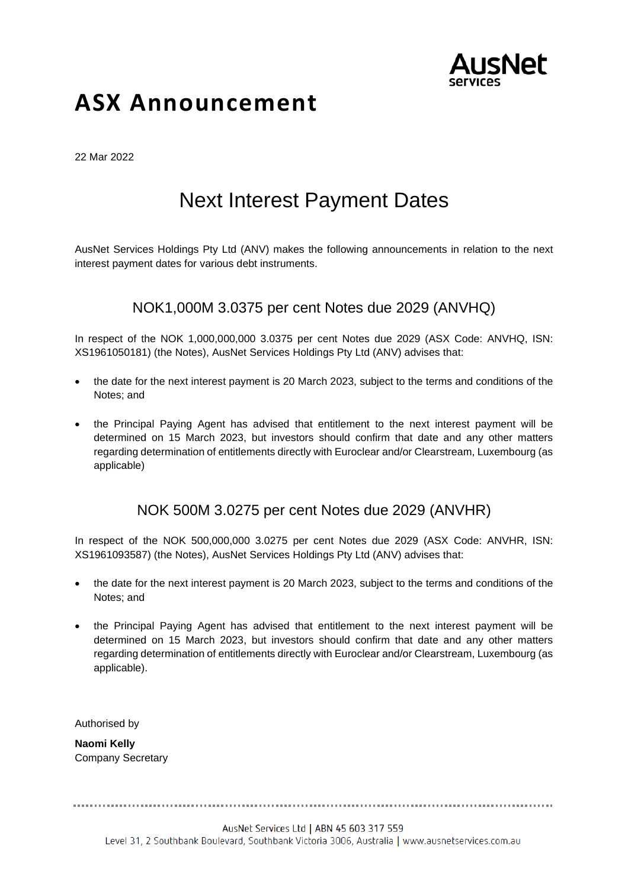

# **ASX Announcement**

22 Mar 2022

# Next Interest Payment Dates

AusNet Services Holdings Pty Ltd (ANV) makes the following announcements in relation to the next interest payment dates for various debt instruments.

## NOK1,000M 3.0375 per cent Notes due 2029 (ANVHQ)

In respect of the NOK 1,000,000,000 3.0375 per cent Notes due 2029 (ASX Code: ANVHQ, ISN: XS1961050181) (the Notes), AusNet Services Holdings Pty Ltd (ANV) advises that:

- the date for the next interest payment is 20 March 2023, subject to the terms and conditions of the Notes; and
- the Principal Paying Agent has advised that entitlement to the next interest payment will be determined on 15 March 2023, but investors should confirm that date and any other matters regarding determination of entitlements directly with Euroclear and/or Clearstream, Luxembourg (as applicable)

### NOK 500M 3.0275 per cent Notes due 2029 (ANVHR)

In respect of the NOK 500,000,000 3.0275 per cent Notes due 2029 (ASX Code: ANVHR, ISN: XS1961093587) (the Notes), AusNet Services Holdings Pty Ltd (ANV) advises that:

- the date for the next interest payment is 20 March 2023, subject to the terms and conditions of the Notes; and
- the Principal Paying Agent has advised that entitlement to the next interest payment will be determined on 15 March 2023, but investors should confirm that date and any other matters regarding determination of entitlements directly with Euroclear and/or Clearstream, Luxembourg (as applicable).

Authorised by

**Naomi Kelly**  Company Secretary